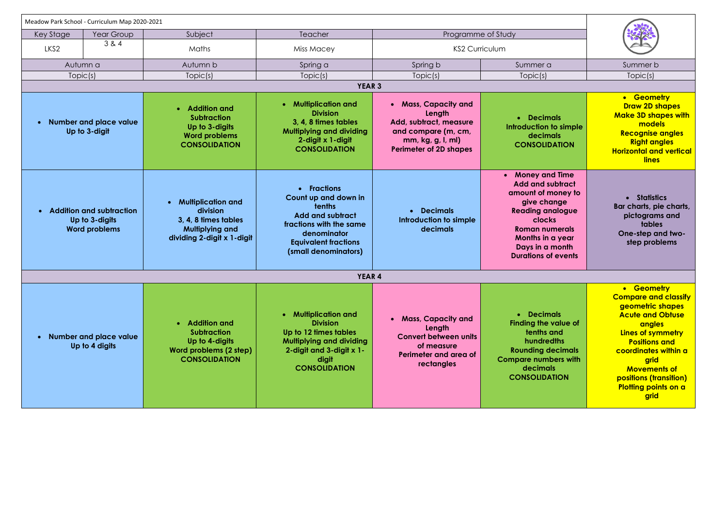| Meadow Park School - Curriculum Map 2020-2021                                          |                                            |                                                                                                                                    |                                                                                                                                                                           |                                                                                                                                       |                                                                                                                                                                                                                                       |                                                                                                                                                                                                                                                                         |  |
|----------------------------------------------------------------------------------------|--------------------------------------------|------------------------------------------------------------------------------------------------------------------------------------|---------------------------------------------------------------------------------------------------------------------------------------------------------------------------|---------------------------------------------------------------------------------------------------------------------------------------|---------------------------------------------------------------------------------------------------------------------------------------------------------------------------------------------------------------------------------------|-------------------------------------------------------------------------------------------------------------------------------------------------------------------------------------------------------------------------------------------------------------------------|--|
| <b>Key Stage</b>                                                                       | Year Group                                 | Subject                                                                                                                            | Teacher                                                                                                                                                                   | Programme of Study                                                                                                                    |                                                                                                                                                                                                                                       |                                                                                                                                                                                                                                                                         |  |
|                                                                                        | 3 & 4                                      |                                                                                                                                    |                                                                                                                                                                           |                                                                                                                                       |                                                                                                                                                                                                                                       |                                                                                                                                                                                                                                                                         |  |
| LKS <sub>2</sub>                                                                       |                                            | Maths                                                                                                                              | <b>KS2 Curriculum</b><br>Miss Macey                                                                                                                                       |                                                                                                                                       |                                                                                                                                                                                                                                       |                                                                                                                                                                                                                                                                         |  |
| Autumn a                                                                               |                                            | Autumn b                                                                                                                           | Spring a                                                                                                                                                                  | Spring b                                                                                                                              | Summer a                                                                                                                                                                                                                              | Summer b                                                                                                                                                                                                                                                                |  |
| Topic(s)                                                                               |                                            | Topic(s)                                                                                                                           | Topic(s)                                                                                                                                                                  | Topic(s)                                                                                                                              | Topic(s)                                                                                                                                                                                                                              | Topic(s)                                                                                                                                                                                                                                                                |  |
| <b>YEAR 3</b>                                                                          |                                            |                                                                                                                                    |                                                                                                                                                                           |                                                                                                                                       |                                                                                                                                                                                                                                       |                                                                                                                                                                                                                                                                         |  |
| <b>Number and place value</b><br>Up to 3-digit                                         |                                            | <b>Addition and</b><br>$\bullet$<br><b>Subtraction</b><br>Up to 3-digits<br><b>Word problems</b><br><b>CONSOLIDATION</b>           | • Multiplication and<br><b>Division</b><br>3, 4, 8 times tables<br><b>Multiplying and dividing</b><br>2-digit x 1-digit<br><b>CONSOLIDATION</b>                           | • Mass, Capacity and<br>Length<br>Add, subtract, measure<br>and compare (m, cm,<br>mm, kg, g, I, ml)<br><b>Perimeter of 2D shapes</b> | • Decimals<br>Introduction to simple<br>decimals<br><b>CONSOLIDATION</b>                                                                                                                                                              | • Geometry<br><b>Draw 2D shapes</b><br><b>Make 3D shapes with</b><br>models<br><b>Recognise angles</b><br><b>Right angles</b><br><b>Horizontal and vertical</b><br><b>lines</b>                                                                                         |  |
| <b>Addition and subtraction</b><br>$\bullet$<br>Up to 3-digits<br><b>Word problems</b> |                                            | <b>Multiplication and</b><br>$\bullet$<br>division<br>3, 4, 8 times tables<br><b>Multiplying and</b><br>dividing 2-digit x 1-digit | • Fractions<br>Count up and down in<br>tenths<br><b>Add and subtract</b><br>fractions with the same<br>denominator<br><b>Equivalent fractions</b><br>(small denominators) | • Decimals<br>Introduction to simple<br>decimals                                                                                      | <b>Money and Time</b><br>$\bullet$<br><b>Add and subtract</b><br>amount of money to<br>give change<br><b>Reading analogue</b><br>clocks<br><b>Roman numerals</b><br>Months in a year<br>Days in a month<br><b>Durations of events</b> | • Statistics<br>Bar charts, pie charts,<br>pictograms and<br>tables<br>One-step and two-<br>step problems                                                                                                                                                               |  |
| <b>YEAR 4</b>                                                                          |                                            |                                                                                                                                    |                                                                                                                                                                           |                                                                                                                                       |                                                                                                                                                                                                                                       |                                                                                                                                                                                                                                                                         |  |
|                                                                                        | • Number and place value<br>Up to 4 digits | • Addition and<br><b>Subtraction</b><br>Up to 4-digits<br>Word problems (2 step)<br><b>CONSOLIDATION</b>                           | • Multiplication and<br><b>Division</b><br>Up to 12 times tables<br><b>Multiplying and dividing</b><br>2-digit and 3-digit x 1-<br>digit<br><b>CONSOLIDATION</b>          | • Mass, Capacity and<br>Length<br><b>Convert between units</b><br>of measure<br>Perimeter and area of<br>rectangles                   | • Decimals<br><b>Finding the value of</b><br>tenths and<br>hundredths<br><b>Rounding decimals</b><br><b>Compare numbers with</b><br>decimals<br><b>CONSOLIDATION</b>                                                                  | • Geometry<br><b>Compare and classify</b><br>geometric shapes<br><b>Acute and Obtuse</b><br><b>angles</b><br>Lines of symmetry<br><b>Positions and</b><br>coordinates within a<br>grid<br><b>Movements of</b><br>positions (transition)<br>Plotting points on a<br>grid |  |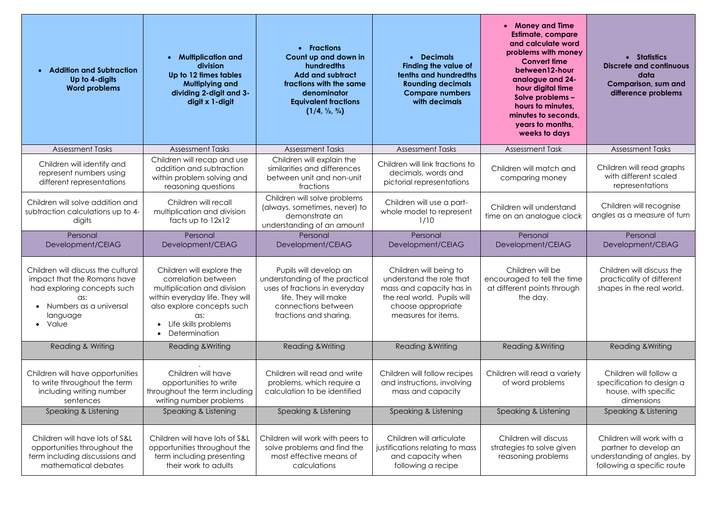| • Addition and Subtraction<br>Up to 4-digits<br><b>Word problems</b>                                                                                     | <b>Multiplication and</b><br>$\bullet$<br>division<br>Up to 12 times tables<br><b>Multiplying and</b><br>dividing 2-digit and 3-<br>digit x 1-digit                                              | • Fractions<br>Count up and down in<br>hundredths<br><b>Add and subtract</b><br>fractions with the same<br>denominator<br><b>Equivalent fractions</b><br>$(1/4, \frac{1}{2}, \frac{3}{4})$ | • Decimals<br><b>Finding the value of</b><br>tenths and hundredths<br><b>Rounding decimals</b><br><b>Compare numbers</b><br>with decimals                  | <b>Money and Time</b><br><b>Estimate, compare</b><br>and calculate word<br>problems with money<br><b>Convert time</b><br>between12-hour<br>analogue and 24-<br>hour digital time<br>Solve problems -<br>hours to minutes,<br>minutes to seconds,<br>years to months,<br>weeks to days | • Statistics<br><b>Discrete and continuous</b><br>data<br>Comparison, sum and<br>difference problems            |
|----------------------------------------------------------------------------------------------------------------------------------------------------------|--------------------------------------------------------------------------------------------------------------------------------------------------------------------------------------------------|--------------------------------------------------------------------------------------------------------------------------------------------------------------------------------------------|------------------------------------------------------------------------------------------------------------------------------------------------------------|---------------------------------------------------------------------------------------------------------------------------------------------------------------------------------------------------------------------------------------------------------------------------------------|-----------------------------------------------------------------------------------------------------------------|
| <b>Assessment Tasks</b>                                                                                                                                  | <b>Assessment Tasks</b>                                                                                                                                                                          | <b>Assessment Tasks</b>                                                                                                                                                                    | <b>Assessment Tasks</b>                                                                                                                                    | <b>Assessment Task</b>                                                                                                                                                                                                                                                                | <b>Assessment Tasks</b>                                                                                         |
| Children will identify and<br>represent numbers using<br>different representations                                                                       | Children will recap and use<br>addition and subtraction<br>within problem solving and<br>reasoning questions                                                                                     | Children will explain the<br>similarities and differences<br>between unit and non-unit<br>fractions                                                                                        | Children will link fractions to<br>decimals, words and<br>pictorial representations                                                                        | Children will match and<br>comparing money                                                                                                                                                                                                                                            | Children will read graphs<br>with different scaled<br>representations                                           |
| Children will solve addition and<br>subtraction calculations up to 4-<br>digits                                                                          | Children will recall<br>multiplication and division<br>facts up to $12x12$                                                                                                                       | Children will solve problems<br>(always, sometimes, never) to<br>demonstrate an<br>understanding of an amount                                                                              | Children will use a part-<br>whole model to represent<br>1/10                                                                                              | Children will understand<br>time on an analogue clock                                                                                                                                                                                                                                 | Children will recognise<br>angles as a measure of turn                                                          |
| Personal<br>Development/CEIAG                                                                                                                            | Personal<br>Development/CEIAG                                                                                                                                                                    | Personal<br>Development/CEIAG                                                                                                                                                              | Personal<br>Development/CEIAG                                                                                                                              | Personal<br>Development/CEIAG                                                                                                                                                                                                                                                         | Personal<br>Development/CEIAG                                                                                   |
| Children will discuss the cultural<br>impact that the Romans have<br>had exploring concepts such<br>as:<br>Numbers as a universal<br>language<br>• Value | Children will explore the<br>correlation between<br>multiplication and division<br>within everyday life. They will<br>also explore concepts such<br>as:<br>Life skills problems<br>Determination | Pupils will develop an<br>understanding of the practical<br>uses of fractions in everyday<br>life. They will make<br>connections between<br>fractions and sharing.                         | Children will being to<br>understand the role that<br>mass and capacity has in<br>the real world. Pupils will<br>choose appropriate<br>measures for items. | Children will be<br>encouraged to tell the time<br>at different points through<br>the day.                                                                                                                                                                                            | Children will discuss the<br>practicality of different<br>shapes in the real world.                             |
| Reading & Writing                                                                                                                                        | <b>Reading &amp; Writing</b>                                                                                                                                                                     | Reading & Writing                                                                                                                                                                          | <b>Reading &amp; Writing</b>                                                                                                                               | <b>Reading &amp; Writing</b>                                                                                                                                                                                                                                                          | <b>Reading &amp; Writing</b>                                                                                    |
| Children will have opportunities<br>to write throughout the term<br>including writing number<br>sentences                                                | Children will have<br>opportunities to write<br>throughout the term including<br>writing number problems                                                                                         | Children will read and write<br>problems, which require a<br>calculation to be identified                                                                                                  | Children will follow recipes<br>and instructions, involving<br>mass and capacity                                                                           | Children will read a variety<br>of word problems                                                                                                                                                                                                                                      | Children will follow a<br>specification to design a<br>house, with specific<br>dimensions                       |
| Speaking & Listening                                                                                                                                     | Speaking & Listening                                                                                                                                                                             | Speaking & Listening                                                                                                                                                                       | Speaking & Listening                                                                                                                                       | Speaking & Listening                                                                                                                                                                                                                                                                  | Speaking & Listening                                                                                            |
| Children will have lots of S&L<br>opportunities throughout the<br>term including discussions and<br>mathematical debates                                 | Children will have lots of S&L<br>opportunities throughout the<br>term including presenting<br>their work to adults                                                                              | Children will work with peers to<br>solve problems and find the<br>most effective means of<br>calculations                                                                                 | Children will articulate<br>justifications relating to mass<br>and capacity when<br>following a recipe                                                     | Children will discuss<br>strategies to solve given<br>reasoning problems                                                                                                                                                                                                              | Children will work with a<br>partner to develop an<br>understanding of angles, by<br>following a specific route |